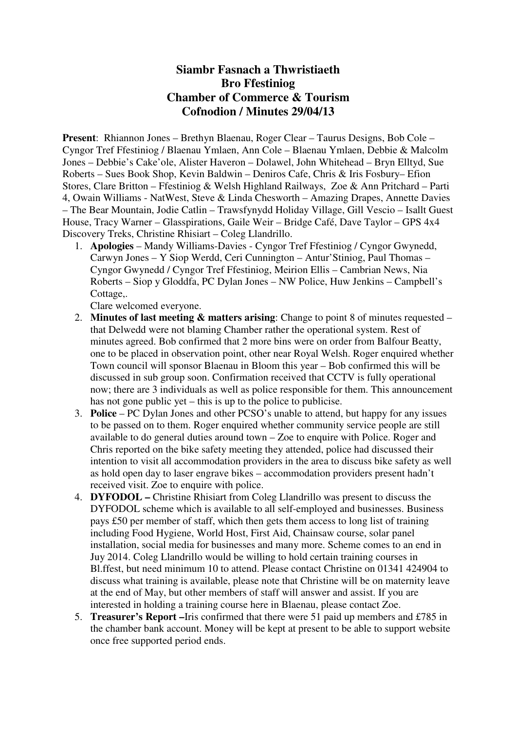## **Siambr Fasnach a Thwristiaeth Bro Ffestiniog Chamber of Commerce & Tourism Cofnodion / Minutes 29/04/13**

**Present**: Rhiannon Jones – Brethyn Blaenau, Roger Clear – Taurus Designs, Bob Cole – Cyngor Tref Ffestiniog / Blaenau Ymlaen, Ann Cole – Blaenau Ymlaen, Debbie & Malcolm Jones – Debbie's Cake'ole, Alister Haveron – Dolawel, John Whitehead – Bryn Elltyd, Sue Roberts – Sues Book Shop, Kevin Baldwin – Deniros Cafe, Chris & Iris Fosbury– Efion Stores, Clare Britton – Ffestiniog & Welsh Highland Railways, Zoe & Ann Pritchard – Parti 4, Owain Williams - NatWest, Steve & Linda Chesworth – Amazing Drapes, Annette Davies – The Bear Mountain, Jodie Catlin – Trawsfynydd Holiday Village, Gill Vescio – Isallt Guest House, Tracy Warner – Glasspirations, Gaile Weir – Bridge Café, Dave Taylor – GPS 4x4 Discovery Treks, Christine Rhisiart – Coleg Llandrillo.

1. **Apologies** – Mandy Williams-Davies - Cyngor Tref Ffestiniog / Cyngor Gwynedd, Carwyn Jones – Y Siop Werdd, Ceri Cunnington – Antur'Stiniog, Paul Thomas – Cyngor Gwynedd / Cyngor Tref Ffestiniog, Meirion Ellis – Cambrian News, Nia Roberts – Siop y Gloddfa, PC Dylan Jones – NW Police, Huw Jenkins – Campbell's Cottage,.

Clare welcomed everyone.

- 2. **Minutes of last meeting & matters arising**: Change to point 8 of minutes requested that Delwedd were not blaming Chamber rather the operational system. Rest of minutes agreed. Bob confirmed that 2 more bins were on order from Balfour Beatty, one to be placed in observation point, other near Royal Welsh. Roger enquired whether Town council will sponsor Blaenau in Bloom this year – Bob confirmed this will be discussed in sub group soon. Confirmation received that CCTV is fully operational now; there are 3 individuals as well as police responsible for them. This announcement has not gone public yet – this is up to the police to publicise.
- 3. **Police** PC Dylan Jones and other PCSO's unable to attend, but happy for any issues to be passed on to them. Roger enquired whether community service people are still available to do general duties around town – Zoe to enquire with Police. Roger and Chris reported on the bike safety meeting they attended, police had discussed their intention to visit all accommodation providers in the area to discuss bike safety as well as hold open day to laser engrave bikes – accommodation providers present hadn't received visit. Zoe to enquire with police.
- 4. **DYFODOL** Christine Rhisiart from Coleg Llandrillo was present to discuss the DYFODOL scheme which is available to all self-employed and businesses. Business pays £50 per member of staff, which then gets them access to long list of training including Food Hygiene, World Host, First Aid, Chainsaw course, solar panel installation, social media for businesses and many more. Scheme comes to an end in Juy 2014. Coleg Llandrillo would be willing to hold certain training courses in Bl.ffest, but need minimum 10 to attend. Please contact Christine on 01341 424904 to discuss what training is available, please note that Christine will be on maternity leave at the end of May, but other members of staff will answer and assist. If you are interested in holding a training course here in Blaenau, please contact Zoe.
- 5. **Treasurer's Report –**Iris confirmed that there were 51 paid up members and £785 in the chamber bank account. Money will be kept at present to be able to support website once free supported period ends.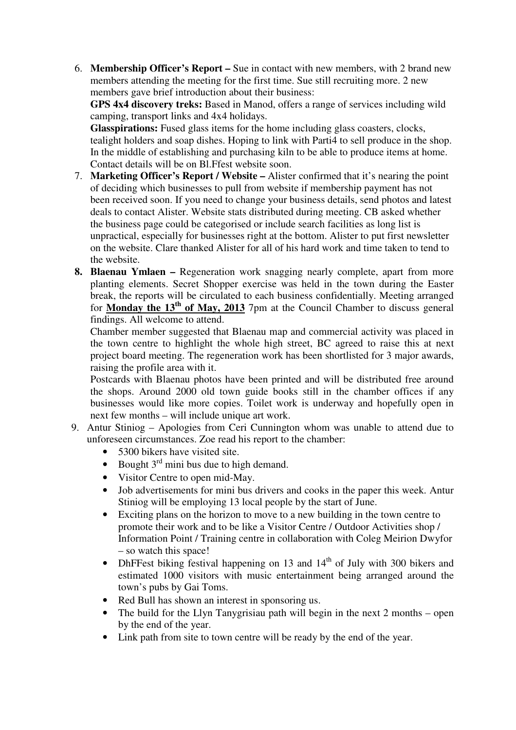6. **Membership Officer's Report –** Sue in contact with new members, with 2 brand new members attending the meeting for the first time. Sue still recruiting more. 2 new members gave brief introduction about their business:

**GPS 4x4 discovery treks:** Based in Manod, offers a range of services including wild camping, transport links and 4x4 holidays.

**Glasspirations:** Fused glass items for the home including glass coasters, clocks, tealight holders and soap dishes. Hoping to link with Parti4 to sell produce in the shop. In the middle of establishing and purchasing kiln to be able to produce items at home. Contact details will be on Bl.Ffest website soon.

- 7. **Marketing Officer's Report / Website** Alister confirmed that it's nearing the point of deciding which businesses to pull from website if membership payment has not been received soon. If you need to change your business details, send photos and latest deals to contact Alister. Website stats distributed during meeting. CB asked whether the business page could be categorised or include search facilities as long list is unpractical, especially for businesses right at the bottom. Alister to put first newsletter on the website. Clare thanked Alister for all of his hard work and time taken to tend to the website.
- **8. Blaenau Ymlaen** Regeneration work snagging nearly complete, apart from more planting elements. Secret Shopper exercise was held in the town during the Easter break, the reports will be circulated to each business confidentially. Meeting arranged for **Monday the 13<sup>th</sup> of May, 2013** 7pm at the Council Chamber to discuss general findings. All welcome to attend.

Chamber member suggested that Blaenau map and commercial activity was placed in the town centre to highlight the whole high street, BC agreed to raise this at next project board meeting. The regeneration work has been shortlisted for 3 major awards, raising the profile area with it.

Postcards with Blaenau photos have been printed and will be distributed free around the shops. Around 2000 old town guide books still in the chamber offices if any businesses would like more copies. Toilet work is underway and hopefully open in next few months – will include unique art work.

- 9. Antur Stiniog Apologies from Ceri Cunnington whom was unable to attend due to unforeseen circumstances. Zoe read his report to the chamber:
	- 5300 bikers have visited site.
	- Bought  $3<sup>rd</sup>$  mini bus due to high demand.
	- Visitor Centre to open mid-May.
	- Job advertisements for mini bus drivers and cooks in the paper this week. Antur Stiniog will be employing 13 local people by the start of June.
	- Exciting plans on the horizon to move to a new building in the town centre to promote their work and to be like a Visitor Centre / Outdoor Activities shop / Information Point / Training centre in collaboration with Coleg Meirion Dwyfor – so watch this space!
	- DhFFest biking festival happening on 13 and  $14<sup>th</sup>$  of July with 300 bikers and estimated 1000 visitors with music entertainment being arranged around the town's pubs by Gai Toms.
	- Red Bull has shown an interest in sponsoring us.
	- The build for the Llyn Tanygrisiau path will begin in the next 2 months open by the end of the year.
	- Link path from site to town centre will be ready by the end of the year.